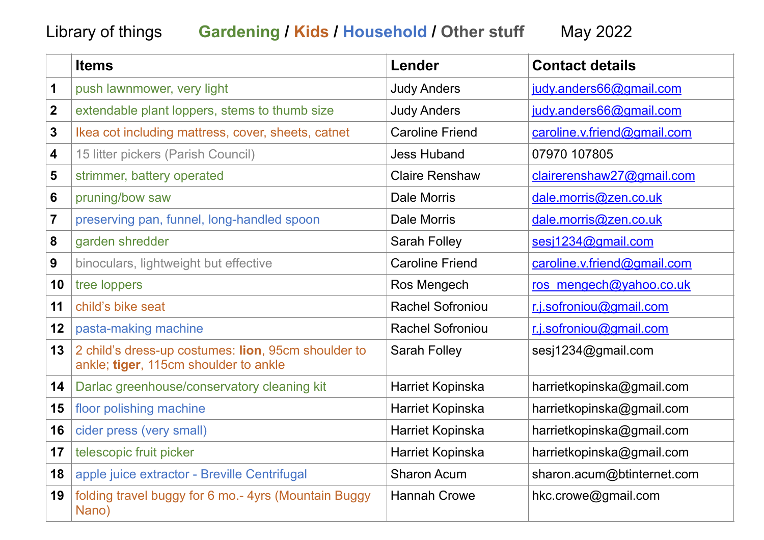## Library of things **Gardening / Kids / Household / Other stuff** May 2022

|                | <b>Items</b>                                                                                 | Lender                  | <b>Contact details</b>      |
|----------------|----------------------------------------------------------------------------------------------|-------------------------|-----------------------------|
| 1              | push lawnmower, very light                                                                   | <b>Judy Anders</b>      | judy.anders66@gmail.com     |
| $\mathbf{2}$   | extendable plant loppers, stems to thumb size                                                | <b>Judy Anders</b>      | judy.anders66@gmail.com     |
| 3              | Ikea cot including mattress, cover, sheets, catnet                                           | <b>Caroline Friend</b>  | caroline.v.friend@gmail.com |
| 4              | 15 litter pickers (Parish Council)                                                           | <b>Jess Huband</b>      | 07970 107805                |
| 5              | strimmer, battery operated                                                                   | <b>Claire Renshaw</b>   | clairerenshaw27@gmail.com   |
| 6              | pruning/bow saw                                                                              | Dale Morris             | dale.morris@zen.co.uk       |
| $\overline{7}$ | preserving pan, funnel, long-handled spoon                                                   | <b>Dale Morris</b>      | dale.morris@zen.co.uk       |
| 8              | garden shredder                                                                              | <b>Sarah Folley</b>     | sesj1234@gmail.com          |
| 9              | binoculars, lightweight but effective                                                        | <b>Caroline Friend</b>  | caroline.v.friend@gmail.com |
| 10             | tree loppers                                                                                 | Ros Mengech             | ros mengech@yahoo.co.uk     |
| 11             | child's bike seat                                                                            | <b>Rachel Sofroniou</b> | r.j.sofroniou@gmail.com     |
| 12             | pasta-making machine                                                                         | <b>Rachel Sofroniou</b> | r.j.sofroniou@gmail.com     |
| 13             | 2 child's dress-up costumes: lion, 95cm shoulder to<br>ankle; tiger, 115cm shoulder to ankle | <b>Sarah Folley</b>     | sesi1234@gmail.com          |
| 14             | Darlac greenhouse/conservatory cleaning kit                                                  | Harriet Kopinska        | harrietkopinska@gmail.com   |
| 15             | floor polishing machine                                                                      | Harriet Kopinska        | harrietkopinska@gmail.com   |
| 16             | cider press (very small)                                                                     | Harriet Kopinska        | harrietkopinska@gmail.com   |
| 17             | telescopic fruit picker                                                                      | Harriet Kopinska        | harrietkopinska@gmail.com   |
| 18             | apple juice extractor - Breville Centrifugal                                                 | <b>Sharon Acum</b>      | sharon.acum@btinternet.com  |
| 19             | folding travel buggy for 6 mo.- 4yrs (Mountain Buggy<br>Nano)                                | <b>Hannah Crowe</b>     | hkc.crowe@gmail.com         |